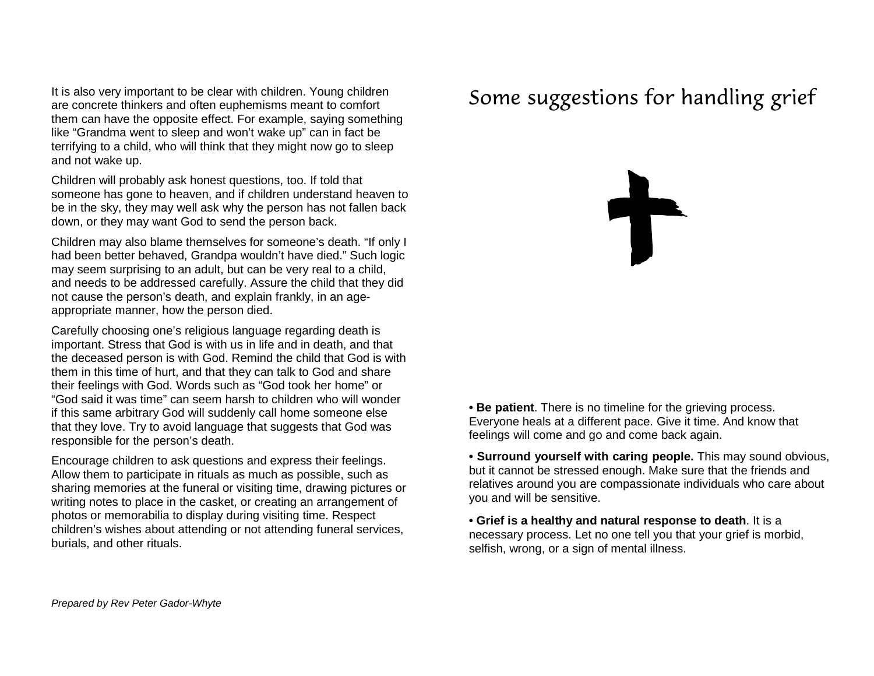It is also very important to be clear with children. Young children are concrete thinkers and often euphemisms meant to comfort them can have the opposite effect. For example, saying something like "Grandma went to sleep and won't wake up" can in fact be terrifying to a child, who will think that they might now go to sleep and not wake up.

Children will probably ask honest questions, too. If told that someone has gone to heaven, and if children understand heaven to be in the sky, they may well ask why the person has not fallen back down, or they may want God to send the person back.

Children may also blame themselves for someone's death. "If only I had been better behaved, Grandpa wouldn't have died." Such logic may seem surprising to an adult, but can be very real to a child, and needs to be addressed carefully. Assure the child that they did not cause the person's death, and explain frankly, in an ageappropriate manner, how the person died.

Carefully choosing one's religious language regarding death is important. Stress that God is with us in life and in death, and that the deceased person is with God. Remind the child that God is with them in this time of hurt, and that they can talk to God and share their feelings with God. Words such as "God took her home" or "God said it was time" can seem harsh to children who will wonder if this same arbitrary God will suddenly call home someone else that they love. Try to avoid language that suggests that God was responsible for the person's death.

Encourage children to ask questions and express their feelings. Allow them to participate in rituals as much as possible, such as sharing memories at the funeral or visiting time, drawing pictures or writing notes to place in the casket, or creating an arrangement of photos or memorabilia to display during visiting time. Respect children's wishes about attending or not attending funeral services, burials, and other rituals.

# Some suggestions for handling grief

**• Be patient**. There is no timeline for the grieving process. Everyone heals at a different pace. Give it time. And know that feelings will come and go and come back again.

**• Surround yourself with caring people.** This may sound obvious, but it cannot be stressed enough. Make sure that the friends and relatives around you are compassionate individuals who care about you and will be sensitive.

**• Grief is a healthy and natural response to death**. It is a necessary process. Let no one tell you that your grief is morbid, selfish, wrong, or a sign of mental illness.